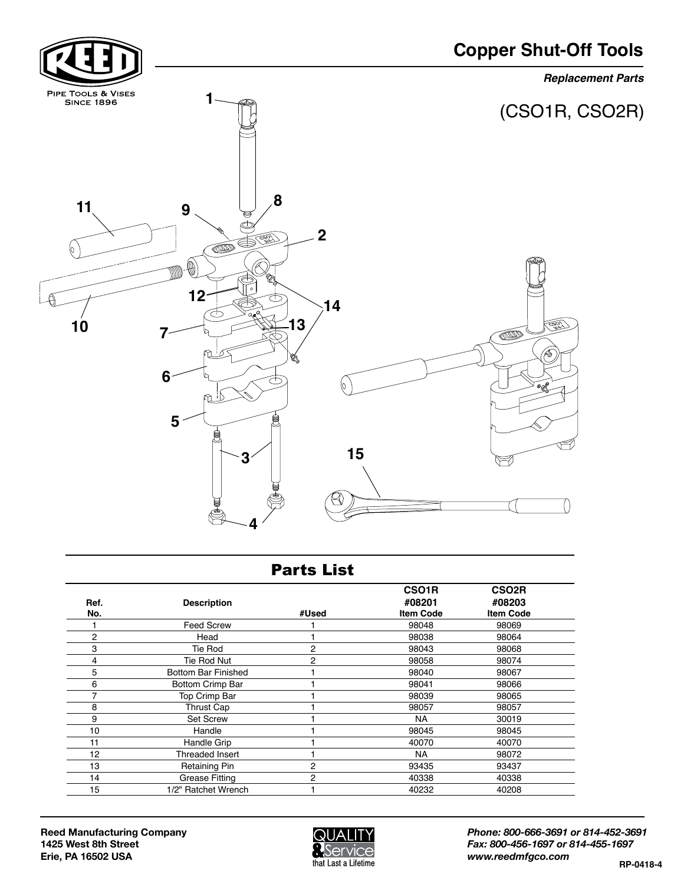

## Parts List

| Ref.<br>No. | <b>Description</b>      | #Used          | CSO <sub>1</sub> R<br>#08201<br><b>Item Code</b> | CSO <sub>2R</sub><br>#08203<br><b>Item Code</b> |
|-------------|-------------------------|----------------|--------------------------------------------------|-------------------------------------------------|
|             | <b>Feed Screw</b>       |                | 98048                                            | 98069                                           |
| 2           | Head                    |                | 98038                                            | 98064                                           |
| 3           | Tie Rod                 | $\overline{2}$ | 98043                                            | 98068                                           |
| 4           | <b>Tie Rod Nut</b>      | 2              | 98058                                            | 98074                                           |
| 5           | Bottom Bar Finished     |                | 98040                                            | 98067                                           |
| 6           | <b>Bottom Crimp Bar</b> |                | 98041                                            | 98066                                           |
| 7           | Top Crimp Bar           |                | 98039                                            | 98065                                           |
| 8           | Thrust Cap              |                | 98057                                            | 98057                                           |
| 9           | <b>Set Screw</b>        |                | <b>NA</b>                                        | 30019                                           |
| 10          | Handle                  |                | 98045                                            | 98045                                           |
| 11          | Handle Grip             |                | 40070                                            | 40070                                           |
| 12          | Threaded Insert         |                | <b>NA</b>                                        | 98072                                           |
| 13          | <b>Retaining Pin</b>    | 2              | 93435                                            | 93437                                           |
| 14          | <b>Grease Fitting</b>   | 2              | 40338                                            | 40338                                           |
| 15          | 1/2" Ratchet Wrench     |                | 40232                                            | 40208                                           |



*Phone: 800-666-3691 or 814-452-3691 Fax: 800-456-1697 or 814-455-1697 www.reedmfgco.com* **RP-0418-4**